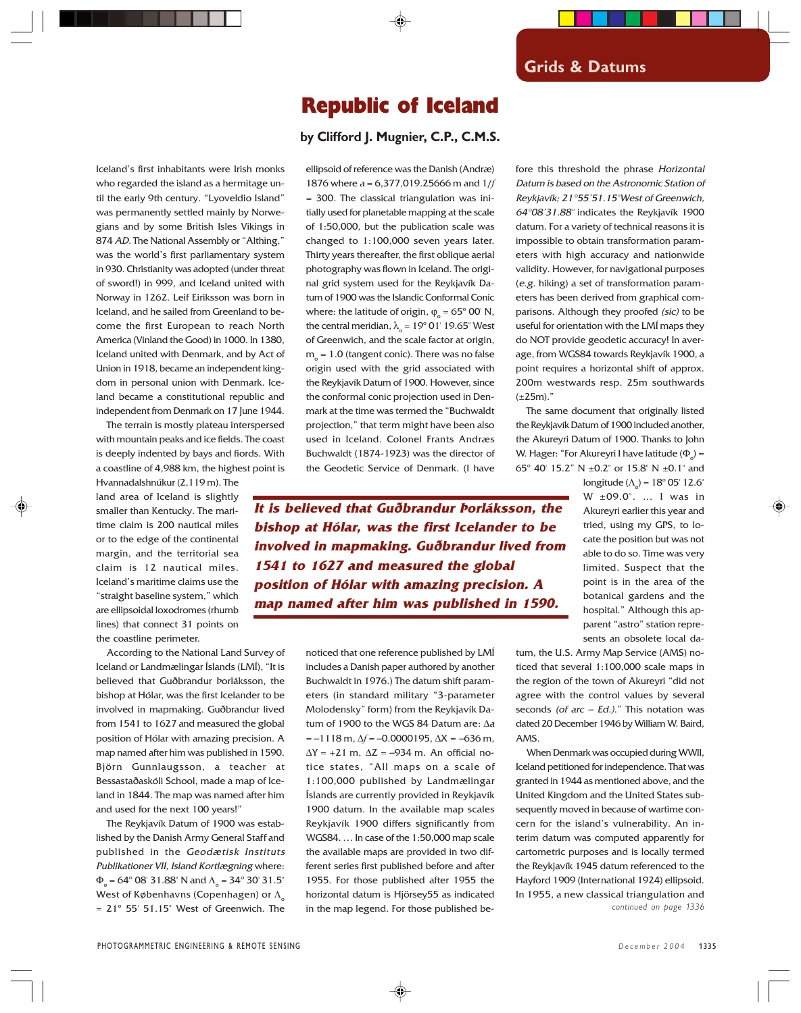## Republic of Iceland

## **by Clifford J. Mugnier, C.P., C.M.S.**

Iceland's first inhabitants were Irish monks who regarded the island as a hermitage until the early 9th century. "Lyoveldio Island" was permanently settled mainly by Norwegians and by some British Isles Vikings in 874 AD. The National Assembly or "Althing," was the world's first parliamentary system in 930. Christianity was adopted (under threat of sword!) in 999, and Iceland united with Norway in 1262. Leif Eiriksson was born in Iceland, and he sailed from Greenland to become the first European to reach North America (Vinland the Good) in 1000. In 1380, Iceland united with Denmark, and by Act of Union in 1918, became an independent kingdom in personal union with Denmark. Iceland became a constitutional republic and independent from Denmark on 17 June 1944.

The terrain is mostly plateau interspersed with mountain peaks and ice fields. The coast is deeply indented by bays and fiords. With a coastline of 4,988 km, the highest point is

Hvannadalshnúkur (2,119 m). The land area of Iceland is slightly smaller than Kentucky. The maritime claim is 200 nautical miles or to the edge of the continental margin, and the territorial sea claim is 12 nautical miles. Iceland's maritime claims use the "straight baseline system," which are ellipsoidal loxodromes (rhumb lines) that connect 31 points on the coastline perimeter.

According to the National Land Survey of Iceland or Landmælingar Íslands (LMÍ), "It is believed that Guðbrandur Þorláksson, the bishop at Hólar, was the first Icelander to be involved in mapmaking. Guðbrandur lived from 1541 to 1627 and measured the global position of Hólar with amazing precision. A map named after him was published in 1590. Björn Gunnlaugsson, a teacher at Bessastaðaskóli School, made a map of Iceland in 1844. The map was named after him and used for the next 100 years!"

The Reykjavík Datum of 1900 was established by the Danish Army General Staff and published in the Geodætisk Instituts Publikationer VII, Island Kortlægning where:  $\Phi_{\rm o}$  = 64° 08′ 31.88″ N and  $\Lambda_{\rm o}$  = 34° 30′ 31.5″ West of Københavns (Copenhagen) or Λ  $= 21^{\circ}$  55' 51.15" West of Greenwich. The ellipsoid of reference was the Danish (Andræ) 1876 where a = 6,377,019.25666 m and 1/*f* = 300. The classical triangulation was initially used for planetable mapping at the scale of 1:50,000, but the publication scale was changed to 1:100,000 seven years later. Thirty years thereafter, the first oblique aerial photography was flown in Iceland. The original grid system used for the Reykjavík Datum of 1900 was the Islandic Conformal Conic where: the latitude of origin,  $\varphi_{\text{o}} = 65^{\circ}$  00' N, the central meridian,  $\lambda_{\circ} = 19^{\circ} 01' 19.65''$  West of Greenwich, and the scale factor at origin,  $m_{\circ}$  = 1.0 (tangent conic). There was no false origin used with the grid associated with the Reykjavík Datum of 1900. However, since the conformal conic projection used in Denmark at the time was termed the "Buchwaldt projection," that term might have been also used in Iceland. Colonel Frants Andræs Buchwaldt (1874-1923) was the director of the Geodetic Service of Denmark. (I have

**It is believed that Guðbrandur Þorláksson, the bishop at Hólar, was the first Icelander to be involved in mapmaking. Guðbrandur lived from 1541 to 1627 and measured the global position of Hólar with amazing precision. A map named after him was published in 1590.**

> noticed that one reference published by LMÍ includes a Danish paper authored by another Buchwaldt in 1976.) The datum shift parameters (in standard military "3-parameter Molodensky" form) from the Reykjavík Datum of 1900 to the WGS 84 Datum are: ∆<sup>a</sup> = –1118 m, ∆*f* = –0.0000195, ∆X = –636 m,  $\Delta Y$  = +21 m,  $\Delta Z$  = -934 m. An official notice states, "All maps on a scale of 1:100,000 published by Landmælingar Íslands are currently provided in Reykjavík 1900 datum. In the available map scales Reykjavík 1900 differs significantly from WGS84. … In case of the 1:50,000 map scale the available maps are provided in two different series first published before and after 1955. For those published after 1955 the horizontal datum is Hjörsey55 as indicated in the map legend. For those published be

fore this threshold the phrase Horizontal Datum is based on the Astronomic Station of Reykjavík; 21°55'51.15"West of Greenwich, 64°08'31.88" indicates the Reykjavík 1900 datum. For a variety of technical reasons it is impossible to obtain transformation parameters with high accuracy and nationwide validity. However, for navigational purposes (e.g. hiking) a set of transformation parameters has been derived from graphical comparisons. Although they proofed (sic) to be useful for orientation with the LMÍ maps they do NOT provide geodetic accuracy! In average, from WGS84 towards Reykjavík 1900, a point requires a horizontal shift of approx. 200m westwards resp. 25m southwards  $(\pm 25m)$ ."

The same document that originally listed the Reykjavík Datum of 1900 included another, the Akureyri Datum of 1900. Thanks to John W. Hager: "For Akureyri I have latitude ( $\Phi_{_{\rm O}}$ ) = 65º 40' 15.2" N ±0.2" or 15.8" N ±0.1" and

> longitude ( $\Lambda$ <sub>o</sub> $)$  = 18° 05′ 12.6″ W ±09.0". … I was in Akureyri earlier this year and tried, using my GPS, to locate the position but was not able to do so. Time was very limited. Suspect that the point is in the area of the botanical gardens and the hospital." Although this apparent "astro" station represents an obsolete local da-

tum, the U.S. Army Map Service (AMS) noticed that several 1:100,000 scale maps in the region of the town of Akureyri "did not agree with the control values by several seconds (of arc  $-$  Ed.)." This notation was dated 20 December 1946 by William W. Baird, AMS.

When Denmark was occupied during WWII, Iceland petitioned for independence. That was granted in 1944 as mentioned above, and the United Kingdom and the United States subsequently moved in because of wartime concern for the island's vulnerability. An interim datum was computed apparently for cartometric purposes and is locally termed the Reykjavík 1945 datum referenced to the Hayford 1909 (International 1924) ellipsoid. In 1955, a new classical triangulation and *continued on page 1336*